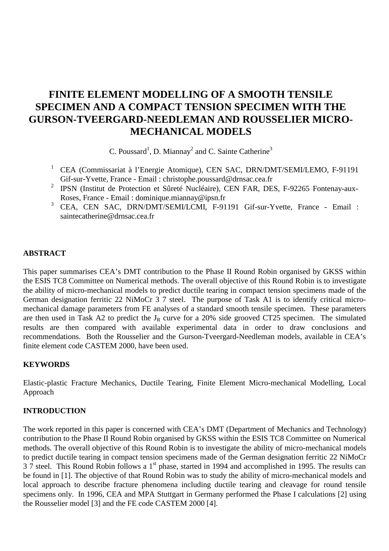# **FINITE ELEMENT MODELLING OF A SMOOTH TENSILE SPECIMEN AND A COMPACT TENSION SPECIMEN WITH THE GURSON-TVEERGARD-NEEDLEMAN AND ROUSSELIER MICRO-MECHANICAL MODELS**

C. Poussard<sup>1</sup>, D. Miannay<sup>2</sup> and C. Sainte Catherine<sup>3</sup>

- <sup>1</sup> CEA (Commissariat à l'Energie Atomique), CEN SAC, DRN/DMT/SEMI/LEMO, F-91191 Gif-sur-Yvette, France - Email : christophe.poussard@drnsac.cea.fr
- <sup>2</sup> IPSN (Institut de Protection et Sûreté Nucléaire), CEN FAR, DES, F-92265 Fontenay-aux-Roses, France - Email : dominique.miannay@ipsn.fr
- <sup>3</sup> CEA, CEN SAC, DRN/DMT/SEMI/LCMI, F-91191 Gif-sur-Yvette, France Email : saintecatherine@drnsac.cea.fr

# **ABSTRACT**

This paper summarises CEA's DMT contribution to the Phase II Round Robin organised by GKSS within the ESIS TC8 Committee on Numerical methods. The overall objective of this Round Robin is to investigate the ability of micro-mechanical models to predict ductile tearing in compact tension specimens made of the German designation ferritic 22 NiMoCr 3 7 steel. The purpose of Task A1 is to identify critical micromechanical damage parameters from FE analyses of a standard smooth tensile specimen. These parameters are then used in Task A2 to predict the  $J_R$  curve for a 20% side grooved CT25 specimen. The simulated results are then compared with available experimental data in order to draw conclusions and recommendations. Both the Rousselier and the Gurson-Tveergard-Needleman models, available in CEA's finite element code CASTEM 2000, have been used.

# **KEYWORDS**

Elastic-plastic Fracture Mechanics, Ductile Tearing, Finite Element Micro-mechanical Modelling, Local Approach

# **INTRODUCTION**

The work reported in this paper is concerned with CEA's DMT (Department of Mechanics and Technology) contribution to the Phase II Round Robin organised by GKSS within the ESIS TC8 Committee on Numerical methods. The overall objective of this Round Robin is to investigate the ability of micro-mechanical models to predict ductile tearing in compact tension specimens made of the German designation ferritic 22 NiMoCr 3 7 steel. This Round Robin follows a 1<sup>st</sup> phase, started in 1994 and accomplished in 1995. The results can be found in [1]. The objective of that Round Robin was to study the ability of micro-mechanical models and local approach to describe fracture phenomena including ductile tearing and cleavage for round tensile specimens only. In 1996, CEA and MPA Stuttgart in Germany performed the Phase I calculations [2] using the Rousselier model [3] and the FE code CASTEM 2000 [4].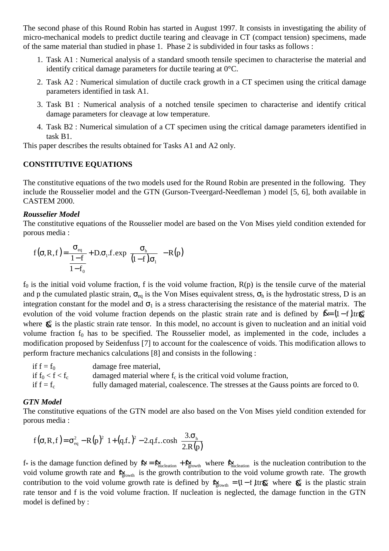The second phase of this Round Robin has started in August 1997. It consists in investigating the ability of micro-mechanical models to predict ductile tearing and cleavage in CT (compact tension) specimens, made of the same material than studied in phase 1. Phase 2 is subdivided in four tasks as follows :

- 1. Task A1 : Numerical analysis of a standard smooth tensile specimen to characterise the material and identify critical damage parameters for ductile tearing at 0°C.
- 2. Task A2 : Numerical simulation of ductile crack growth in a CT specimen using the critical damage parameters identified in task A1.
- 3. Task B1 : Numerical analysis of a notched tensile specimen to characterise and identify critical damage parameters for cleavage at low temperature.
- 4. Task B2 : Numerical simulation of a CT specimen using the critical damage parameters identified in task B1.

This paper describes the results obtained for Tasks A1 and A2 only.

# **CONSTITUTIVE EQUATIONS**

The constitutive equations of the two models used for the Round Robin are presented in the following. They include the Rousselier model and the GTN (Gurson-Tveergard-Needleman ) model [5, 6], both available in CASTEM 2000.

# *Rousselier Model*

The constitutive equations of the Rousselier model are based on the Von Mises yield condition extended for porous media :

$$
f(\sigma, R, f) = \frac{\sigma_{eq}}{1 - f} + D \cdot \sigma_1 \cdot f \cdot exp\left(\frac{\sigma_h}{(1 - f)\sigma_1}\right) - R(p)
$$

 $f_0$  is the initial void volume fraction, f is the void volume fraction,  $R(p)$  is the tensile curve of the material and p the cumulated plastic strain,  $\sigma_{eq}$  is the Von Mises equivalent stress,  $\sigma_h$  is the hydrostatic stress, D is an integration constant for the model and  $\sigma_1$  is a stress characterising the resistance of the material matrix. The evolution of the void volume fraction depends on the plastic strain rate and is defined by  $\mathcal{R} = (1 - f)$ tr $\mathcal{R}$ where  $\mathbf{g}^p$  is the plastic strain rate tensor. In this model, no account is given to nucleation and an initial void volume fraction  $f_0$  has to be specified. The Rousselier model, as implemented in the code, includes a modification proposed by Seidenfuss [7] to account for the coalescence of voids. This modification allows to perform fracture mechanics calculations [8] and consists in the following :

if  $f = f_0$  damage free material, if  $f_0 < f < f_c$  damaged material where  $f_c$  is the critical void volume fraction, if  $f = f_c$  fully damaged material, coalescence. The stresses at the Gauss points are forced to 0.

# *GTN Model*

The constitutive equations of the GTN model are also based on the Von Mises yield condition extended for porous media :

$$
f(\sigma, R, f) = \sigma_{\text{eq}}^2 - R(p)^2 \left[ 1 + (q.f_*)^2 - 2.q.f_*.\cosh\left(\frac{3.\sigma_{\text{h}}}{2.R(p)}\right) \right]
$$

 $f^*$  is the damage function defined by  $f^* = f^*_{\text{mucleation}} + f^*_{\text{growth}}$  where  $f^*_{\text{mucleation}}$  is the nucleation contribution to the void volume growth rate and  $\mathbf{K}_{\text{growth}}$  is the growth contribution to the void volume growth rate. The growth contribution to the void volume growth rate is defined by  $\mathbf{g}_{\text{growth}}^{\ell} = (1 - f) \text{tr} \mathbf{g}_{\ell}^{\ell}$  where  $\mathbf{g}_{\ell}^{\ell}$  is the plastic strain rate tensor and f is the void volume fraction. If nucleation is neglected, the damage function in the GTN model is defined by :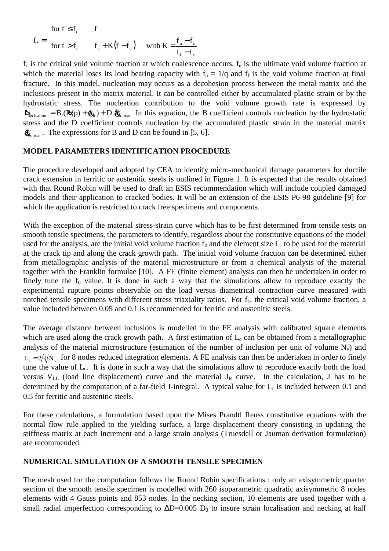$$
f_* = \begin{cases} \text{for } f \le f_c & f \\ \text{for } f > f_c & f_c + K(f - f_c) & \text{with } K = \frac{f_u - f_c}{f_f - f_c} \end{cases}
$$

 $f_c$  is the critical void volume fraction at which coalescence occurs,  $f_u$  is the ultimate void volume fraction at which the material loses its load bearing capacity with  $f_u = 1/q$  and  $f_f$  is the void volume fraction at final fracture. In this model, nucleation may occurs as a decohesion process between the metal matrix and the inclusions present in the matrix material. It can be controlled either by accumulated plastic strain or by the hydrostatic stress. The nucleation contribution to the void volume growth rate is expressed by  $\mathbf{\hat{p}}_{\text{nucleation}} = B.(\mathbf{R}(p) + \mathbf{\hat{q}}_{\text{th}}) + D. \mathbf{\hat{q}}_{\text{eq,mat}}^p$  In this equation, the B coefficient controls nucleation by the hydrostatic stress and the D coefficient controls nucleation by the accumulated plastic strain in the material matrix  $\mathbf{\hat{g}}_{\mathbf{k}_q,\text{mat}}^{\nu}$ . The expressions for B and D can be found in [5, 6].

#### **MODEL PARAMETERS IDENTIFICATION PROCEDURE**

The procedure developed and adopted by CEA to identify micro-mechanical damage parameters for ductile crack extension in ferritic or austenitic steels is outlined in Figure 1. It is expected that the results obtained with that Round Robin will be used to draft an ESIS recommendation which will include coupled damaged models and their application to cracked bodies. It will be an extension of the ESIS P6-98 guideline [9] for which the application is restricted to crack free specimens and components.

With the exception of the material stress-strain curve which has to be first determined from tensile tests on smooth tensile specimens, the parameters to identify, regardless about the constitutive equations of the model used for the analysis, are the initial void volume fraction  $f_0$  and the element size  $L_c$  to be used for the material at the crack tip and along the crack growth path. The initial void volume fraction can be determined either from metallographic analysis of the material microstructure or from a chemical analysis of the material together with the Franklin formulae [10]. A FE (finite element) analysis can then be undertaken in order to finely tune the  $f_0$  value. It is done in such a way that the simulations allow to reproduce exactly the experimental rupture points observable on the load versus diametrical contraction curve measured with notched tensile specimens with different stress triaxiality ratios. For f<sub>c</sub>, the critical void volume fraction, a value included between 0.05 and 0.1 is recommended for ferritic and austenitic steels.

The average distance between inclusions is modelled in the FE analysis with calibrated square elements which are used along the crack growth path. A first estimation of  $L<sub>c</sub>$  can be obtained from a metallographic analysis of the material microstructure (estimation of the number of inclusion per unit of volume  $N_v$ ) and  $L<sub>s</sub> = 2/\sqrt{3}N<sub>s</sub>$  for 8 nodes reduced integration elements. A FE analysis can then be undertaken in order to finely tune the value of  $L_c$ . It is done in such a way that the simulations allow to reproduce exactly both the load versus  $V_{LL}$  (load line displacement) curve and the material  $J_R$  curve. In the calculation, J has to be determined by the computation of a far-field J-integral. A typical value for  $L_c$  is included between 0.1 and 0.5 for ferritic and austenitic steels.

For these calculations, a formulation based upon the Mises Prandtl Reuss constitutive equations with the normal flow rule applied to the yielding surface, a large displacement theory consisting in updating the stiffness matrix at each increment and a large strain analysis (Truesdell or Jauman derivation formulation) are recommended.

### **NUMERICAL SIMULATION OF A SMOOTH TENSILE SPECIMEN**

The mesh used for the computation follows the Round Robin specifications : only an axisymmetric quarter section of the smooth tensile specimen is modelled with 260 isoparametric quadratic axisymmetric 8 nodes elements with 4 Gauss points and 853 nodes. In the necking section, 10 elements are used together with a small radial imperfection corresponding to  $\Delta D=0.005$  D<sub>0</sub> to insure strain localisation and necking at half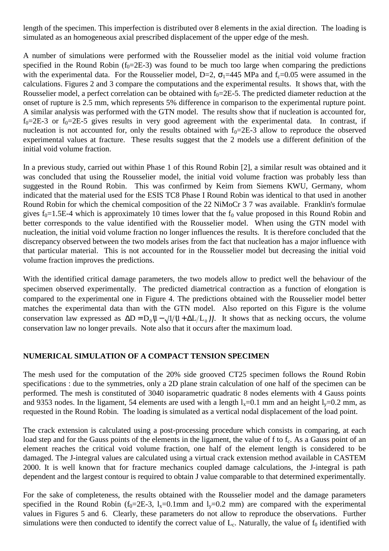length of the specimen. This imperfection is distributed over 8 elements in the axial direction. The loading is simulated as an homogeneous axial prescribed displacement of the upper edge of the mesh.

A number of simulations were performed with the Rousselier model as the initial void volume fraction specified in the Round Robin ( $f_0$ =2E-3) was found to be much too large when comparing the predictions with the experimental data. For the Rousselier model, D=2,  $\sigma_1$ =445 MPa and f<sub>c</sub>=0.05 were assumed in the calculations. Figures 2 and 3 compare the computations and the experimental results. It shows that, with the Rousselier model, a perfect correlation can be obtained with  $f_0=2E-5$ . The predicted diameter reduction at the onset of rupture is 2.5 mm, which represents 5% difference in comparison to the experimental rupture point. A similar analysis was performed with the GTN model. The results show that if nucleation is accounted for,  $f_0=2E-3$  or  $f_0=2E-5$  gives results in very good agreement with the experimental data. In contrast, if nucleation is not accounted for, only the results obtained with  $f_0=2E-3$  allow to reproduce the observed experimental values at fracture. These results suggest that the 2 models use a different definition of the initial void volume fraction.

In a previous study, carried out within Phase 1 of this Round Robin [2], a similar result was obtained and it was concluded that using the Rousselier model, the initial void volume fraction was probably less than suggested in the Round Robin. This was confirmed by Keim from Siemens KWU, Germany, whom indicated that the material used for the ESIS TC8 Phase I Round Robin was identical to that used in another Round Robin for which the chemical composition of the 22 NiMoCr 3 7 was available. Franklin's formulae gives  $f_0 = 1.5E-4$  which is approximately 10 times lower that the  $f_0$  value proposed in this Round Robin and better corresponds to the value identified with the Rousselier model. When using the GTN model with nucleation, the initial void volume fraction no longer influences the results. It is therefore concluded that the discrepancy observed between the two models arises from the fact that nucleation has a major influence with that particular material. This is not accounted for in the Rousselier model but decreasing the initial void volume fraction improves the predictions.

With the identified critical damage parameters, the two models allow to predict well the behaviour of the specimen observed experimentally. The predicted diametrical contraction as a function of elongation is compared to the experimental one in Figure 4. The predictions obtained with the Rousselier model better matches the experimental data than with the GTN model. Also reported on this Figure is the volume conservation law expressed as  $\Delta D = D_0 \left( \frac{1 - \sqrt{1}{1 + \Delta L/L_0}}{\right)$ . It shows that as necking occurs, the volume conservation law no longer prevails. Note also that it occurs after the maximum load.

# **NUMERICAL SIMULATION OF A COMPACT TENSION SPECIMEN**

The mesh used for the computation of the 20% side grooved CT25 specimen follows the Round Robin specifications : due to the symmetries, only a 2D plane strain calculation of one half of the specimen can be performed. The mesh is constituted of 3040 isoparametric quadratic 8 nodes elements with 4 Gauss points and 9353 nodes. In the ligament, 54 elements are used with a length  $l_x=0.1$  mm and an height  $l_y=0.2$  mm, as requested in the Round Robin. The loading is simulated as a vertical nodal displacement of the load point.

The crack extension is calculated using a post-processing procedure which consists in comparing, at each load step and for the Gauss points of the elements in the ligament, the value of f to f<sub>c</sub>. As a Gauss point of an element reaches the critical void volume fraction, one half of the element length is considered to be damaged. The J-integral values are calculated using a virtual crack extension method available in CASTEM 2000. It is well known that for fracture mechanics coupled damage calculations, the J-integral is path dependent and the largest contour is required to obtain J value comparable to that determined experimentally.

For the sake of completeness, the results obtained with the Rousselier model and the damage parameters specified in the Round Robin ( $f_0$ =2E-3,  $l_x$ =0.1mm and  $l_y$ =0.2 mm) are compared with the experimental values in Figures 5 and 6. Clearly, these parameters do not allow to reproduce the observations. Further simulations were then conducted to identify the correct value of  $L_c$ . Naturally, the value of  $f_0$  identified with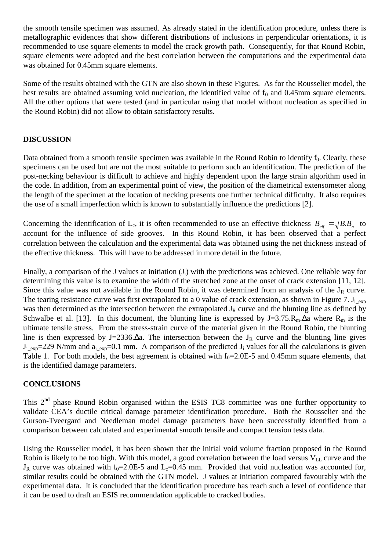the smooth tensile specimen was assumed. As already stated in the identification procedure, unless there is metallographic evidences that show different distributions of inclusions in perpendicular orientations, it is recommended to use square elements to model the crack growth path. Consequently, for that Round Robin, square elements were adopted and the best correlation between the computations and the experimental data was obtained for 0.45mm square elements.

Some of the results obtained with the GTN are also shown in these Figures. As for the Rousselier model, the best results are obtained assuming void nucleation, the identified value of  $f_0$  and 0.45mm square elements. All the other options that were tested (and in particular using that model without nucleation as specified in the Round Robin) did not allow to obtain satisfactory results.

# **DISCUSSION**

Data obtained from a smooth tensile specimen was available in the Round Robin to identify  $f_0$ . Clearly, these specimens can be used but are not the most suitable to perform such an identification. The prediction of the post-necking behaviour is difficult to achieve and highly dependent upon the large strain algorithm used in the code. In addition, from an experimental point of view, the position of the diametrical extensometer along the length of the specimen at the location of necking presents one further technical difficulty. It also requires the use of a small imperfection which is known to substantially influence the predictions [2].

Concerning the identification of L<sub>c</sub>, it is often recommended to use an effective thickness  $B_{\text{eff}} = \sqrt{B.B_n}$  to account for the influence of side grooves. In this Round Robin, it has been observed that a perfect correlation between the calculation and the experimental data was obtained using the net thickness instead of the effective thickness. This will have to be addressed in more detail in the future.

Finally, a comparison of the J values at initiation  $(J_i)$  with the predictions was achieved. One reliable way for determining this value is to examine the width of the stretched zone at the onset of crack extension [11, 12]. Since this value was not available in the Round Robin, it was determined from an analysis of the  $J_R$  curve. The tearing resistance curve was first extrapolated to a 0 value of crack extension, as shown in Figure 7.  $J_i$ <sub>exp</sub> was then determined as the intersection between the extrapolated  $J_R$  curve and the blunting line as defined by Schwalbe et al. [13]. In this document, the blunting line is expressed by J=3.75. $R_m \Delta a$  where  $R_m$  is the ultimate tensile stress. From the stress-strain curve of the material given in the Round Robin, the blunting line is then expressed by J=2336. $\Delta a$ . The intersection between the J<sub>R</sub> curve and the blunting line gives  $J_{i-exp}=229$  N/mm and  $a_{i-exp}=0.1$  mm. A comparison of the predicted  $J_i$  values for all the calculations is given Table 1. For both models, the best agreement is obtained with  $f_0 = 2.0E-5$  and 0.45mm square elements, that is the identified damage parameters.

# **CONCLUSIONS**

This 2<sup>nd</sup> phase Round Robin organised within the ESIS TC8 committee was one further opportunity to validate CEA's ductile critical damage parameter identification procedure. Both the Rousselier and the Gurson-Tveergard and Needleman model damage parameters have been successfully identified from a comparison between calculated and experimental smooth tensile and compact tension tests data.

Using the Rousselier model, it has been shown that the initial void volume fraction proposed in the Round Robin is likely to be too high. With this model, a good correlation between the load versus  $V_{LL}$  curve and the  $J_R$  curve was obtained with f<sub>0</sub>=2.0E-5 and L<sub>c</sub>=0.45 mm. Provided that void nucleation was accounted for, similar results could be obtained with the GTN model. J values at initiation compared favourably with the experimental data. It is concluded that the identification procedure has reach such a level of confidence that it can be used to draft an ESIS recommendation applicable to cracked bodies.